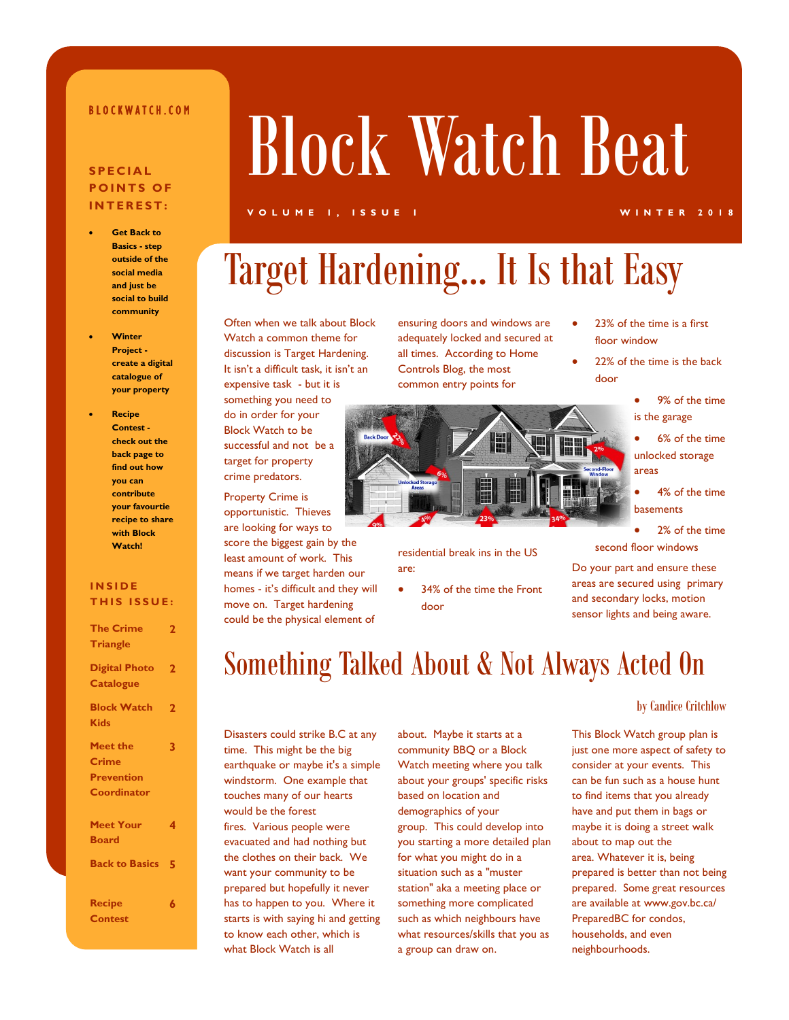### B L O C K W A T C H . C O M

### **S P E C I A L POINTS OF I N T E R E S T :**

- **Get Back to Basics - step outside of the social media and just be social to build community**
- **Winter Project create a digital catalogue of your property**
- **Recipe Contest check out the back page to find out how you can contribute your favourtie recipe to share with Block Watch!**

### **I N S I D E THIS ISSUE:**

| <b>The Crime</b><br><b>Triangle</b>                          | 2                       |
|--------------------------------------------------------------|-------------------------|
| <b>Digital Photo</b><br><b>Catalogue</b>                     | 2                       |
| <b>Block Watch</b><br><b>Kids</b>                            | $\overline{\mathbf{2}}$ |
| <b>Meet the</b><br>Crime<br><b>Prevention</b><br>Coordinator | 3                       |
| <b>Meet Your</b><br><b>Board</b>                             | 4                       |
| <b>Back to Basics</b>                                        | 5                       |
| <b>Recipe</b><br>Contest                                     | 6                       |

# Block Watch Beat

#### **V O L U M E 1 , I S S U E 1 W I N T E R 2 0 1 8**

# Target Hardening… It Is that Easy

Often when we talk about Block Watch a common theme for discussion is Target Hardening. It isn't a difficult task, it isn't an expensive task - but it is something you need to do in order for your Block Watch to be successful and not be a target for property crime predators.

Property Crime is opportunistic. Thieves are looking for ways to score the biggest gain by the least amount of work. This means if we target harden our homes - it's difficult and they will move on. Target hardening could be the physical element of

ensuring doors and windows are adequately locked and secured at all times. According to Home Controls Blog, the most common entry points for



residential break ins in the US are:

 34% of the time the Front door

- 23% of the time is a first floor window
	- 22% of the time is the back door
		- 9% of the time is the garage
		- 6% of the time unlocked storage areas
		- 4% of the time basements
		- 2% of the time

second floor windows

Do your part and ensure these areas are secured using primary and secondary locks, motion sensor lights and being aware.

### Something Talked About & Not Always Acted On

Disasters could strike B.C at any time. This might be the big earthquake or maybe it's a simple windstorm. One example that touches many of our hearts would be the forest fires. Various people were evacuated and had nothing but the clothes on their back. We want your community to be prepared but hopefully it never has to happen to you. Where it starts is with saying hi and getting to know each other, which is what Block Watch is all

about. Maybe it starts at a community BBQ or a Block Watch meeting where you talk about your groups' specific risks based on location and demographics of your group. This could develop into you starting a more detailed plan for what you might do in a situation such as a "muster station" aka a meeting place or something more complicated such as which neighbours have what resources/skills that you as a group can draw on.

#### by Candice Critchlow

This Block Watch group plan is just one more aspect of safety to consider at your events. This can be fun such as a house hunt to find items that you already have and put them in bags or maybe it is doing a street walk about to map out the area. Whatever it is, being prepared is better than not being prepared. Some great resources are available at www.gov.bc.ca/ PreparedBC for condos, households, and even neighbourhoods.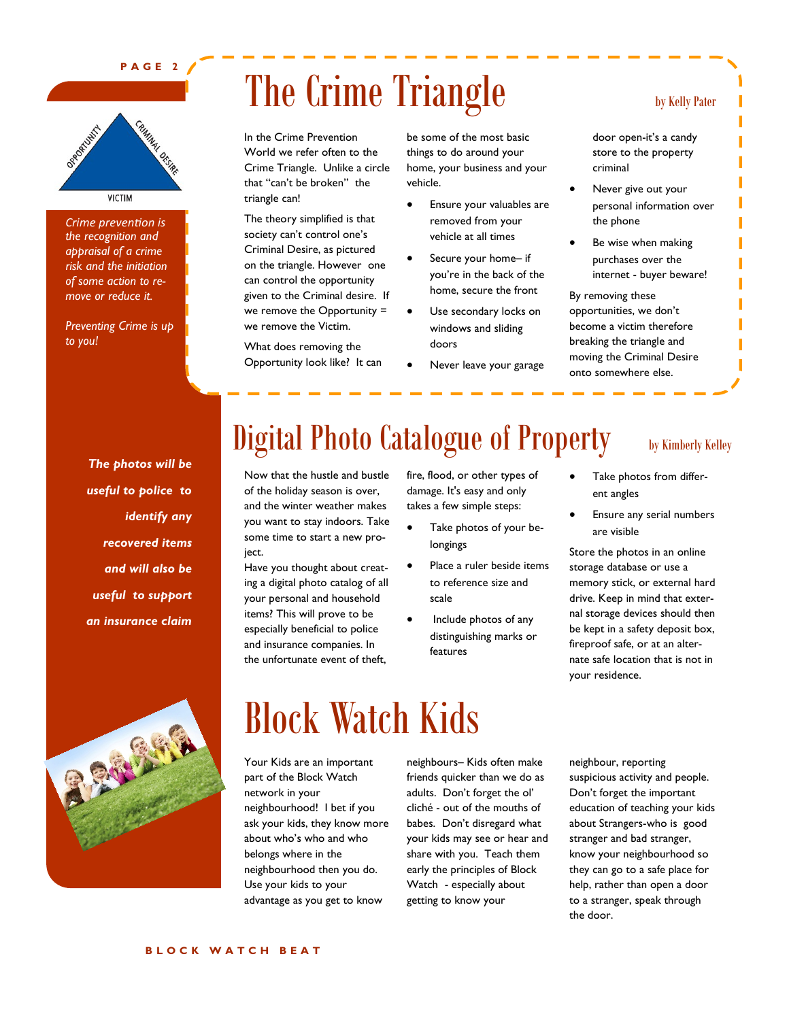#### **P A G E 2**



*Crime prevention is the recognition and appraisal of a crime risk and the initiation of some action to remove or reduce it.* 

*Preventing Crime is up to you!*

> *The photos will be useful to police to identify any recovered items and will also be useful to support an insurance claim*

# The Crime Triangle by Kelly Pater

In the Crime Prevention World we refer often to the Crime Triangle. Unlike a circle that "can't be broken" the triangle can!

The theory simplified is that society can't control one's Criminal Desire, as pictured on the triangle. However one can control the opportunity given to the Criminal desire. If we remove the Opportunity = we remove the Victim.

What does removing the Opportunity look like? It can be some of the most basic things to do around your home, your business and your vehicle.

- Ensure your valuables are removed from your vehicle at all times
- Secure your home– if you're in the back of the home, secure the front
- Use secondary locks on windows and sliding doors
- Never leave your garage

door open-it's a candy store to the property criminal

- Never give out your personal information over the phone
- Be wise when making purchases over the internet - buyer beware!

By removing these opportunities, we don't become a victim therefore breaking the triangle and moving the Criminal Desire onto somewhere else.

## Digital Photo Catalogue of Property by Kimberly Kelley

Now that the hustle and bustle of the holiday season is over, and the winter weather makes you want to stay indoors. Take some time to start a new project.

Have you thought about creating a digital photo catalog of all your personal and household items? This will prove to be especially beneficial to police and insurance companies. In the unfortunate event of theft,

fire, flood, or other types of damage. It's easy and only takes a few simple steps:

- Take photos of your belongings
- Place a ruler beside items to reference size and scale
- Include photos of any distinguishing marks or features

- Take photos from different angles
- Ensure any serial numbers are visible

Store the photos in an online storage database or use a memory stick, or external hard drive. Keep in mind that external storage devices should then be kept in a safety deposit box, fireproof safe, or at an alternate safe location that is not in your residence.



# Block Watch Kids

Your Kids are an important part of the Block Watch network in your neighbourhood! I bet if you ask your kids, they know more about who's who and who belongs where in the neighbourhood then you do. Use your kids to your advantage as you get to know

neighbours– Kids often make friends quicker than we do as adults. Don't forget the ol' cliché - out of the mouths of babes. Don't disregard what your kids may see or hear and share with you. Teach them early the principles of Block Watch - especially about getting to know your

neighbour, reporting suspicious activity and people. Don't forget the important education of teaching your kids about Strangers-who is good stranger and bad stranger, know your neighbourhood so they can go to a safe place for help, rather than open a door to a stranger, speak through the door.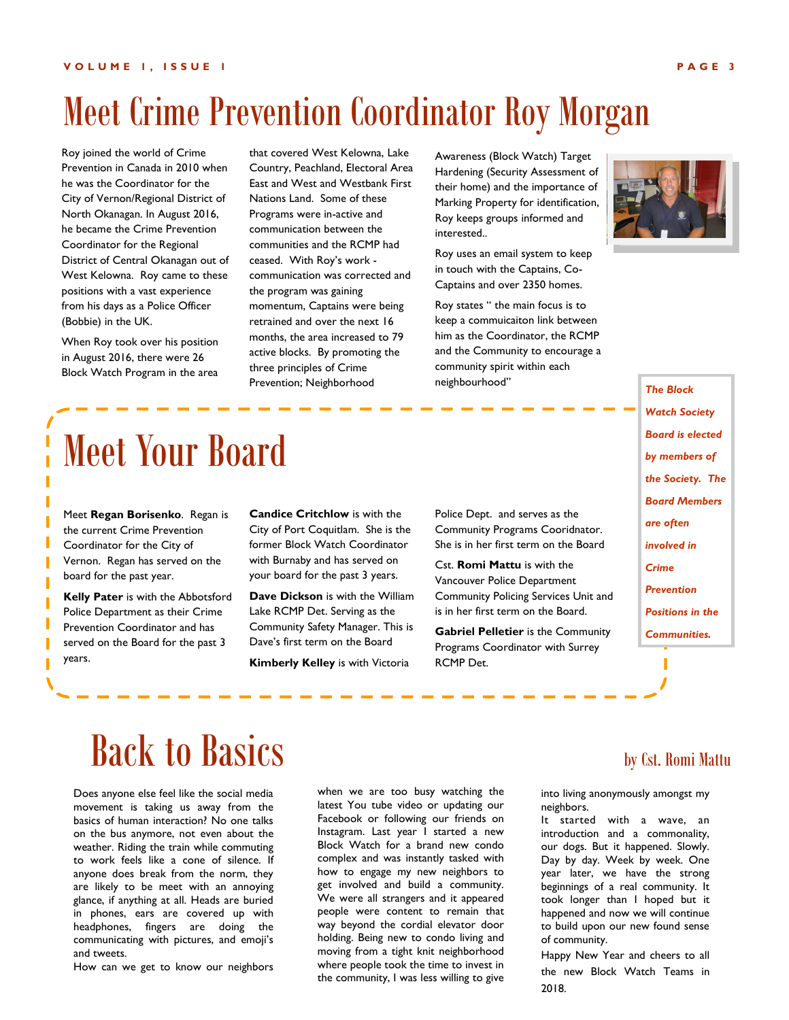# Meet Crime Prevention Coordinator Roy Morgan

Roy joined the world of Crime Prevention in Canada in 2010 when he was the Coordinator for the City of Vernon/Regional District of North Okanagan. In August 2016, he became the Crime Prevention Coordinator for the Regional District of Central Okanagan out of West Kelowna. Roy came to these positions with a vast experience from his days as a Police Officer (Bobbie) in the UK.

When Roy took over his position in August 2016, there were 26 Block Watch Program in the area

that covered West Kelowna, Lake Country, Peachland, Electoral Area East and West and Westbank First Nations Land. Some of these Programs were in-active and communication between the communities and the RCMP had ceased. With Roy's work communication was corrected and the program was gaining momentum, Captains were being retrained and over the next 16 months, the area increased to 79 active blocks. By promoting the three principles of Crime Prevention; Neighborhood

Awareness (Block Watch) Target Hardening (Security Assessment of their home) and the importance of Marking Property for identification, Roy keeps groups informed and interested..

Roy uses an email system to keep in touch with the Captains, Co-Captains and over 2350 homes.

Roy states " the main focus is to keep a commuicaiton link between him as the Coordinator, the RCMP and the Community to encourage a community spirit within each neighbourhood"



*The Block Watch Society Board is elected by members of the Society. The Board Members are often involved in Crime Prevention Positions in the Communities.*

# Meet Your Board

Meet **Regan Borisenko**. Regan is the current Crime Prevention Coordinator for the City of Vernon. Regan has served on the board for the past year.

**Kelly Pater** is with the Abbotsford Police Department as their Crime Prevention Coordinator and has served on the Board for the past 3 years.

**Candice Critchlow** is with the City of Port Coquitlam. She is the former Block Watch Coordinator with Burnaby and has served on your board for the past 3 years.

**Dave Dickson** is with the William Lake RCMP Det. Serving as the Community Safety Manager. This is Dave's first term on the Board

**Kimberly Kelley** is with Victoria

Police Dept. and serves as the Community Programs Cooridnator. She is in her first term on the Board

Cst. **Romi Mattu** is with the Vancouver Police Department Community Policing Services Unit and is in her first term on the Board.

**Gabriel Pelletier** is the Community Programs Coordinator with Surrey RCMP Det.

# $Back to \, \, \textit{Basis}$  by Cst. Romi Mattu

Does anyone else feel like the social media movement is taking us away from the basics of human interaction? No one talks on the bus anymore, not even about the weather. Riding the train while commuting to work feels like a cone of silence. If anyone does break from the norm, they are likely to be meet with an annoying glance, if anything at all. Heads are buried in phones, ears are covered up with headphones, fingers are doing the communicating with pictures, and emoji's and tweets.

How can we get to know our neighbors

when we are too busy watching the latest You tube video or updating our Facebook or following our friends on Instagram. Last year I started a new Block Watch for a brand new condo complex and was instantly tasked with how to engage my new neighbors to get involved and build a community. We were all strangers and it appeared people were content to remain that way beyond the cordial elevator door holding. Being new to condo living and moving from a tight knit neighborhood where people took the time to invest in the community, I was less willing to give

into living anonymously amongst my neighbors.

It started with a wave, an introduction and a commonality, our dogs. But it happened. Slowly. Day by day. Week by week. One year later, we have the strong beginnings of a real community. It took longer than I hoped but it happened and now we will continue to build upon our new found sense of community.

Happy New Year and cheers to all the new Block Watch Teams in 2018.